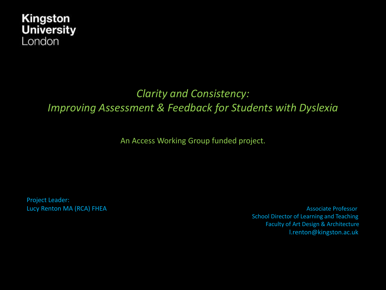### *Clarity and Consistency: Improving Assessment & Feedback for Students with Dyslexia*

An Access Working Group funded project.

Project Leader:

Lucy Renton MA (RCA) FHEA **Associate Professor** Associate Professor School Director of Learning and Teaching Faculty of Art Design & Architecture l.renton@kingston.ac.uk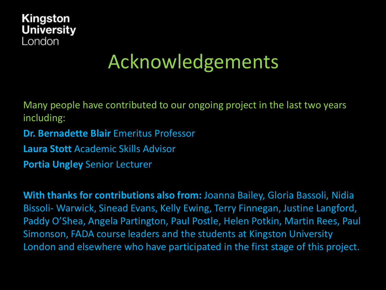

# Acknowledgements

Many people have contributed to our ongoing project in the last two years including:

**Dr. Bernadette Blair** Emeritus Professor

**Laura Stott** Academic Skills Advisor

**Portia Ungley** Senior Lecturer

**With thanks for contributions also from:** Joanna Bailey, Gloria Bassoli, Nidia Bissoli- Warwick, Sinead Evans, Kelly Ewing, Terry Finnegan, Justine Langford, Paddy O'Shea, Angela Partington, Paul Postle, Helen Potkin, Martin Rees, Paul Simonson, FADA course leaders and the students at Kingston University London and elsewhere who have participated in the first stage of this project.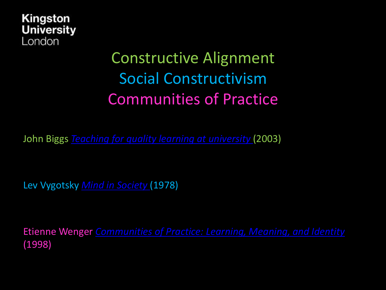

### Constructive Alignment Social Constructivism Communities of Practice

John Biggs *[Teaching for quality learning at university](http://www.johnbiggs.com.au/academic/constructive-alignment/)* (2003)

Lev Vygotsky *[Mind in Society](http://gsi.berkeley.edu/gsi-guide-contents/learning-theory-research/social-constructivism/)* (1978)

Etienne Wenger *[Communities of Practice: Learning, Meaning, and Identity](https://books.google.co.uk/books?hl=en&lr=&id=heBZpgYUKdAC&oi=fnd&pg=PR11&dq=communities+of+practice+learning+meaning+and+identity&ots=kepe-kcy1m&sig=N-iNhCwfQ5rfC_YlJGS1pzaH0Do#v=onepage&q=communities%20of%20practice%20learning%20meaning%20and%20identity&f=false)*  (1998)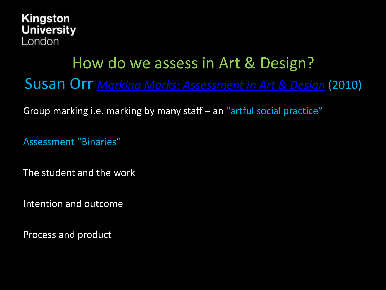

### How do we assess in Art & Design?

Susan Orr *[Marking Marks: Assessment in Art & Design](http://arts.brighton.ac.uk/__data/assets/pdf_file/0004/65308/Susan-Orr-article-Issue-10-pp-9-13.pdf)* (2010)

Group marking i.e. marking by many staff – an "artful social practice"

Assessment "Binaries"

The student and the work

Intention and outcome

Process and product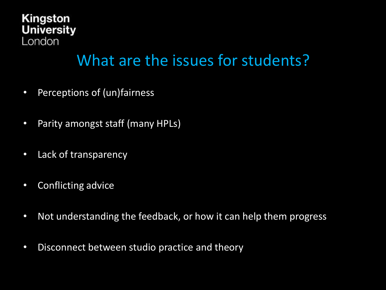### What are the issues for students?

- Perceptions of (un)fairness
- Parity amongst staff (many HPLs)
- Lack of transparency
- Conflicting advice
- Not understanding the feedback, or how it can help them progress
- Disconnect between studio practice and theory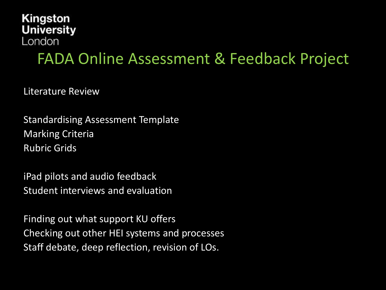### FADA Online Assessment & Feedback Project

Literature Review

Standardising Assessment Template Marking Criteria Rubric Grids

iPad pilots and audio feedback Student interviews and evaluation

Finding out what support KU offers Checking out other HEI systems and processes Staff debate, deep reflection, revision of LOs.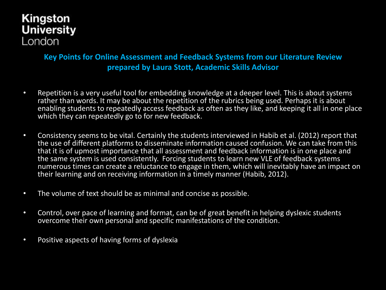#### **Key Points for Online Assessment and Feedback Systems from our Literature Review prepared by Laura Stott, Academic Skills Advisor**

- Repetition is a very useful tool for embedding knowledge at a deeper level. This is about systems rather than words. It may be about the repetition of the rubrics being used. Perhaps it is about enabling students to repeatedly access feedback as often as they like, and keeping it all in one place which they can repeatedly go to for new feedback.
- Consistency seems to be vital. Certainly the students interviewed in Habib et al. (2012) report that the use of different platforms to disseminate information caused confusion. We can take from this that it is of upmost importance that all assessment and feedback information is in one place and the same system is used consistently. Forcing students to learn new VLE of feedback systems numerous times can create a reluctance to engage in them, which will inevitably have an impact on their learning and on receiving information in a timely manner (Habib, 2012).
- The volume of text should be as minimal and concise as possible.
- Control, over pace of learning and format, can be of great benefit in helping dyslexic students overcome their own personal and specific manifestations of the condition.
- Positive aspects of having forms of dyslexia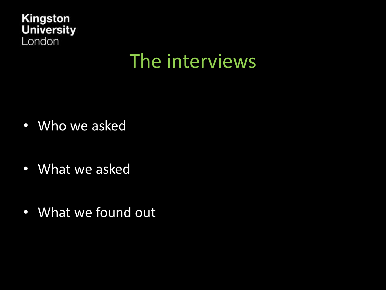

## The interviews

- Who we asked
- What we asked
- What we found out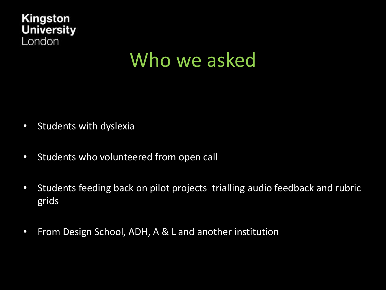

## Who we asked

- Students with dyslexia
- Students who volunteered from open call
- Students feeding back on pilot projects trialling audio feedback and rubric grids
- From Design School, ADH, A & L and another institution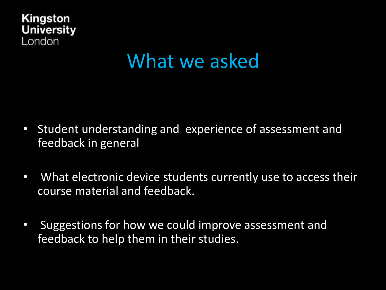

## What we asked

- Student understanding and experience of assessment and feedback in general
- What electronic device students currently use to access their course material and feedback.
- Suggestions for how we could improve assessment and feedback to help them in their studies.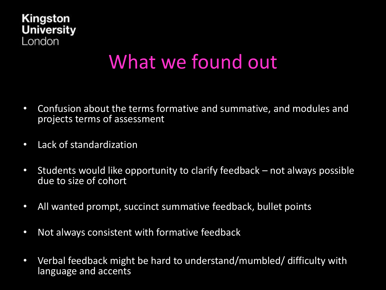

## What we found out

- Confusion about the terms formative and summative, and modules and projects terms of assessment
- Lack of standardization
- Students would like opportunity to clarify feedback not always possible due to size of cohort
- All wanted prompt, succinct summative feedback, bullet points
- Not always consistent with formative feedback
- Verbal feedback might be hard to understand/mumbled/ difficulty with language and accents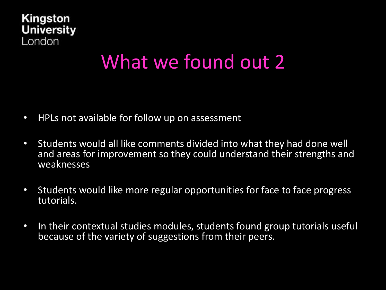

### What we found out 2

- HPLs not available for follow up on assessment
- Students would all like comments divided into what they had done well and areas for improvement so they could understand their strengths and weaknesses
- Students would like more regular opportunities for face to face progress tutorials.
- In their contextual studies modules, students found group tutorials useful because of the variety of suggestions from their peers.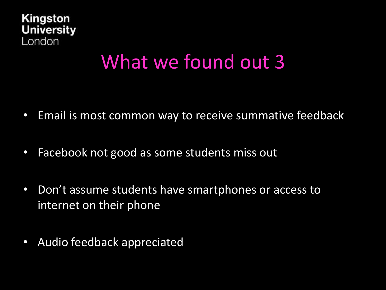

### What we found out 3

- Email is most common way to receive summative feedback
- Facebook not good as some students miss out
- Don't assume students have smartphones or access to internet on their phone
- Audio feedback appreciated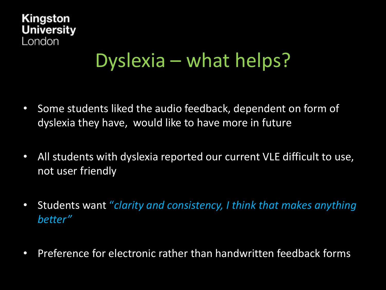## Dyslexia – what helps?

- Some students liked the audio feedback, dependent on form of dyslexia they have, would like to have more in future
- All students with dyslexia reported our current VLE difficult to use, not user friendly
- Students want "*clarity and consistency, I think that makes anything better"*
- Preference for electronic rather than handwritten feedback forms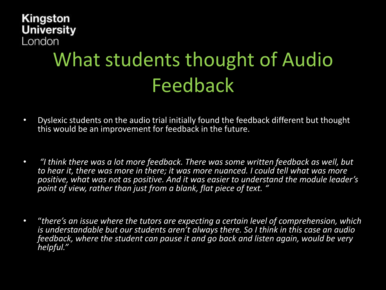# What students thought of Audio Feedback

- Dyslexic students on the audio trial initially found the feedback different but thought this would be an improvement for feedback in the future.
- *"I think there was a lot more feedback. There was some written feedback as well, but to hear it, there was more in there; it was more nuanced. I could tell what was more positive, what was not as positive. And it was easier to understand the module leader's point of view, rather than just from a blank, flat piece of text. "*
- "*there's an issue where the tutors are expecting a certain level of comprehension, which is understandable but our students aren't always there. So I think in this case an audio feedback, where the student can pause it and go back and listen again, would be very helpful."*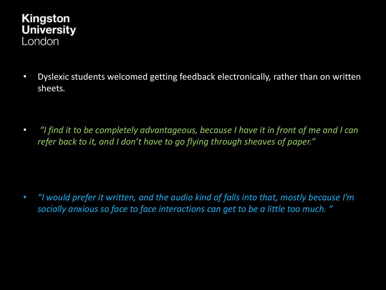• Dyslexic students welcomed getting feedback electronically, rather than on written sheets*.* 

• *"I find it to be completely advantageous, because I have it in front of me and I can refer back to it, and I don't have to go flying through sheaves of paper."*

• *"I would prefer it written, and the audio kind of falls into that, mostly because I'm socially anxious so face to face interactions can get to be a little too much. "*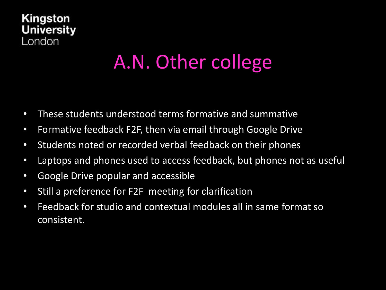# A.N. Other college

- These students understood terms formative and summative
- Formative feedback F2F, then via email through Google Drive
- Students noted or recorded verbal feedback on their phones
- Laptops and phones used to access feedback, but phones not as useful
- Google Drive popular and accessible
- Still a preference for F2F meeting for clarification
- Feedback for studio and contextual modules all in same format so consistent.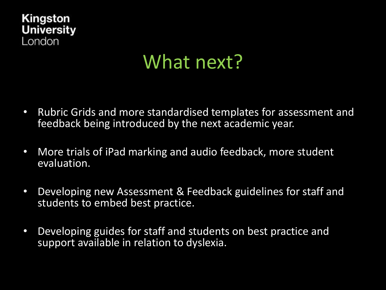# What next?

- Rubric Grids and more standardised templates for assessment and feedback being introduced by the next academic year.
- More trials of iPad marking and audio feedback, more student evaluation.
- Developing new Assessment & Feedback guidelines for staff and students to embed best practice.
- Developing guides for staff and students on best practice and support available in relation to dyslexia.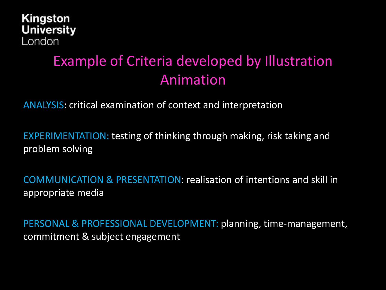### Example of Criteria developed by Illustration Animation

ANALYSIS: critical examination of context and interpretation

EXPERIMENTATION: testing of thinking through making, risk taking and problem solving

COMMUNICATION & PRESENTATION: realisation of intentions and skill in appropriate media

PERSONAL & PROFESSIONAL DEVELOPMENT: planning, time-management, commitment & subject engagement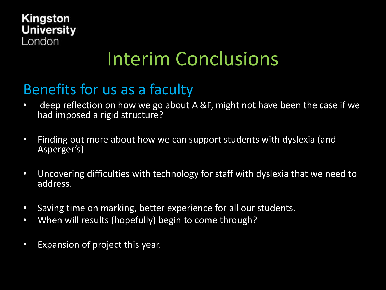## Interim Conclusions

### Benefits for us as a faculty

- deep reflection on how we go about A &F, might not have been the case if we had imposed a rigid structure?
- Finding out more about how we can support students with dyslexia (and Asperger's)
- Uncovering difficulties with technology for staff with dyslexia that we need to address.
- Saving time on marking, better experience for all our students.
- When will results (hopefully) begin to come through?
- Expansion of project this year.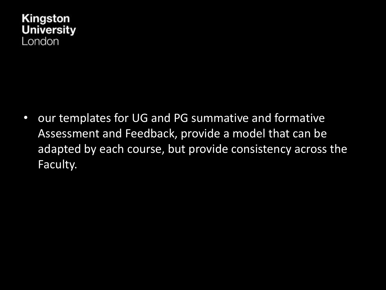

• our templates for UG and PG summative and formative Assessment and Feedback, provide a model that can be adapted by each course, but provide consistency across the Faculty.